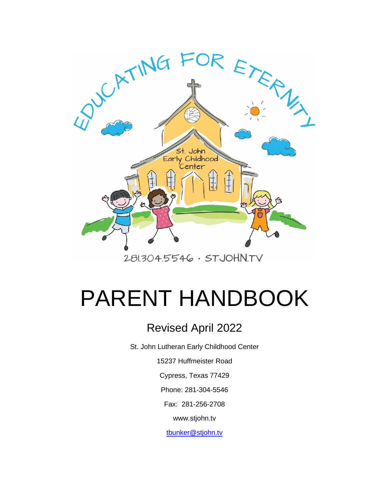

# PARENT HANDBOOK

# Revised April 2022

St. John Lutheran Early Childhood Center

15237 Huffmeister Road

Cypress, Texas 77429

Phone: 281-304-5546

Fax: 281-256-2708

www.stjohn.tv

[tbunker@stjohn.tv](mailto:tbunker@stjohn.tv)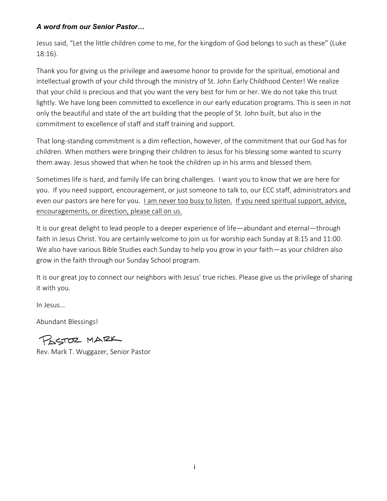#### *A word from our Senior Pastor…*

Jesus said, "Let the little children come to me, for the kingdom of God belongs to such as these" (Luke 18:16).

Thank you for giving us the privilege and awesome honor to provide for the spiritual, emotional and intellectual growth of your child through the ministry of St. John Early Childhood Center! We realize that your child is precious and that you want the very best for him or her. We do not take this trust lightly. We have long been committed to excellence in our early education programs. This is seen in not only the beautiful and state of the art building that the people of St. John built, but also in the commitment to excellence of staff and staff training and support.

That long-standing commitment is a dim reflection, however, of the commitment that our God has for children. When mothers were bringing their children to Jesus for his blessing some wanted to scurry them away. Jesus showed that when he took the children up in his arms and blessed them.

Sometimes life is hard, and family life can bring challenges. I want you to know that we are here for you. If you need support, encouragement, or just someone to talk to, our ECC staff, administrators and even our pastors are here for you. I am never too busy to listen. If you need spiritual support, advice, encouragements, or direction, please call on us.

It is our great delight to lead people to a deeper experience of life—abundant and eternal—through faith in Jesus Christ. You are certainly welcome to join us for worship each Sunday at 8:15 and 11:00. We also have various Bible Studies each Sunday to help you grow in your faith—as your children also grow in the faith through our Sunday School program.

It is our great joy to connect our neighbors with Jesus' true riches. Please give us the privilege of sharing it with you.

In Jesus…

Abundant Blessings!

PASTOR MARK

Rev. Mark T. Wuggazer, Senior Pastor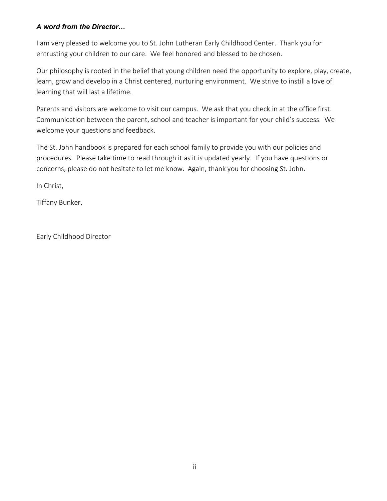#### *A word from the Director…*

I am very pleased to welcome you to St. John Lutheran Early Childhood Center. Thank you for entrusting your children to our care. We feel honored and blessed to be chosen.

Our philosophy is rooted in the belief that young children need the opportunity to explore, play, create, learn, grow and develop in a Christ centered, nurturing environment. We strive to instill a love of learning that will last a lifetime.

Parents and visitors are welcome to visit our campus. We ask that you check in at the office first. Communication between the parent, school and teacher is important for your child's success. We welcome your questions and feedback.

The St. John handbook is prepared for each school family to provide you with our policies and procedures. Please take time to read through it as it is updated yearly. If you have questions or concerns, please do not hesitate to let me know. Again, thank you for choosing St. John.

In Christ,

Tiffany Bunker,

Early Childhood Director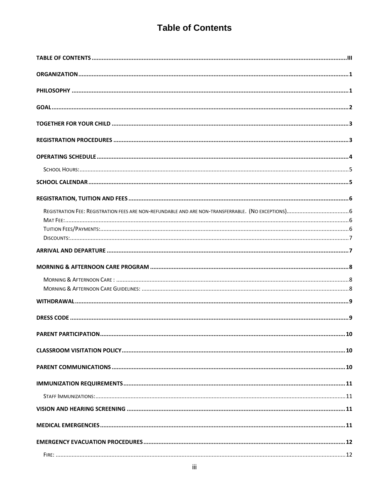## **Table of Contents**

<span id="page-3-0"></span>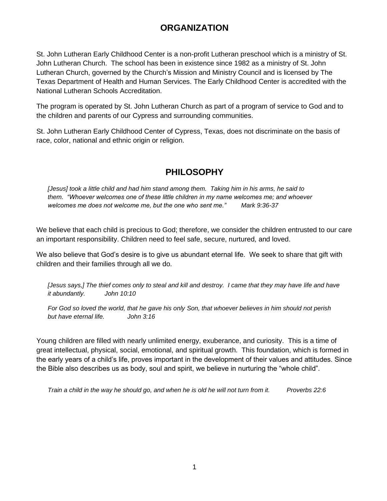## **ORGANIZATION**

<span id="page-5-0"></span>St. John Lutheran Early Childhood Center is a non-profit Lutheran preschool which is a ministry of St. John Lutheran Church. The school has been in existence since 1982 as a ministry of St. John Lutheran Church, governed by the Church's Mission and Ministry Council and is licensed by The Texas Department of Health and Human Services. The Early Childhood Center is accredited with the National Lutheran Schools Accreditation.

The program is operated by St. John Lutheran Church as part of a program of service to God and to the children and parents of our Cypress and surrounding communities.

<span id="page-5-1"></span>St. John Lutheran Early Childhood Center of Cypress, Texas, does not discriminate on the basis of race, color, national and ethnic origin or religion.

## **PHILOSOPHY**

*[Jesus] took a little child and had him stand among them. Taking him in his arms, he said to them. "Whoever welcomes one of these little children in my name welcomes me; and whoever welcomes me does not welcome me, but the one who sent me." Mark 9:36-37*

We believe that each child is precious to God; therefore, we consider the children entrusted to our care an important responsibility. Children need to feel safe, secure, nurtured, and loved.

We also believe that God's desire is to give us abundant eternal life. We seek to share that gift with children and their families through all we do.

*[Jesus says,] The thief comes only to steal and kill and destroy. I came that they may have life and have it abundantly. John 10:10*

*For God so loved the world, that he gave his only Son, that whoever believes in him should not perish but have eternal life. John 3:16*

Young children are filled with nearly unlimited energy, exuberance, and curiosity. This is a time of great intellectual, physical, social, emotional, and spiritual growth. This foundation, which is formed in the early years of a child's life, proves important in the development of their values and attitudes. Since the Bible also describes us as body, soul and spirit, we believe in nurturing the "whole child".

*Train a child in the way he should go, and when he is old he will not turn from it. Proverbs 22:6*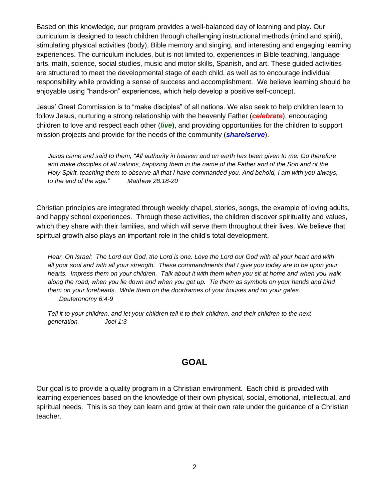Based on this knowledge, our program provides a well-balanced day of learning and play. Our curriculum is designed to teach children through challenging instructional methods (mind and spirit), stimulating physical activities (body), Bible memory and singing, and interesting and engaging learning experiences. The curriculum includes, but is not limited to, experiences in Bible teaching, language arts, math, science, social studies, music and motor skills, Spanish, and art. These guided activities are structured to meet the developmental stage of each child, as well as to encourage individual responsibility while providing a sense of success and accomplishment. We believe learning should be enjoyable using "hands-on" experiences, which help develop a positive self-concept.

Jesus' Great Commission is to "make disciples" of all nations. We also seek to help children learn to follow Jesus, nurturing a strong relationship with the heavenly Father (*celebrate*), encouraging children to love and respect each other (*live*), and providing opportunities for the children to support mission projects and provide for the needs of the community (*share/serve*).

*Jesus came and said to them, "All authority in heaven and on earth has been given to me. Go therefore and make disciples of all nations, baptizing them in the name of the Father and of the Son and of the Holy Spirit, teaching them to observe all that I have commanded you. And behold, I am with you always, to the end of the age." Matthew 28:18-20*

Christian principles are integrated through weekly chapel, stories, songs, the example of loving adults, and happy school experiences. Through these activities, the children discover spirituality and values, which they share with their families, and which will serve them throughout their lives. We believe that spiritual growth also plays an important role in the child's total development.

*Hear, Oh Israel: The Lord our God, the Lord is one. Love the Lord our God with all your heart and with all your soul and with all your strength. These commandments that I give you today are to be upon your hearts. Impress them on your children. Talk about it with them when you sit at home and when you walk along the road, when you lie down and when you get up. Tie them as symbols on your hands and bind them on your foreheads. Write them on the doorframes of your houses and on your gates. Deuteronomy 6:4-9*

<span id="page-6-0"></span>*Tell it to your children, and let your children tell it to their children, and their children to the next generation. Joel 1:3*

#### **GOAL**

Our goal is to provide a quality program in a Christian environment. Each child is provided with learning experiences based on the knowledge of their own physical, social, emotional, intellectual, and spiritual needs. This is so they can learn and grow at their own rate under the guidance of a Christian teacher.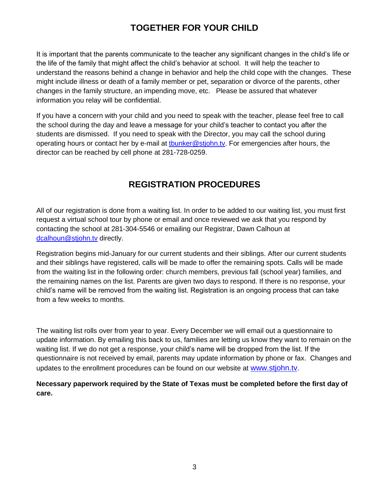## **TOGETHER FOR YOUR CHILD**

<span id="page-7-0"></span>It is important that the parents communicate to the teacher any significant changes in the child's life or the life of the family that might affect the child's behavior at school. It will help the teacher to understand the reasons behind a change in behavior and help the child cope with the changes. These might include illness or death of a family member or pet, separation or divorce of the parents, other changes in the family structure, an impending move, etc. Please be assured that whatever information you relay will be confidential.

If you have a concern with your child and you need to speak with the teacher, please feel free to call the school during the day and leave a message for your child's teacher to contact you after the students are dismissed. If you need to speak with the Director, you may call the school during operating hours or contact her by e-mail at thunker@stjohn.tv. For emergencies after hours, the director can be reached by cell phone at 281-728-0259.

## **REGISTRATION PROCEDURES**

<span id="page-7-1"></span>All of our registration is done from a waiting list. In order to be added to our waiting list, you must first request a virtual school tour by phone or email and once reviewed we ask that you respond by contacting the school at 281-304-5546 or emailing our Registrar, Dawn Calhoun at [dcalhoun@stjohn.tv](mailto:dcalhoun@stjohn.tv) directly.

Registration begins mid-January for our current students and their siblings. After our current students and their siblings have registered, calls will be made to offer the remaining spots. Calls will be made from the waiting list in the following order: church members, previous fall (school year) families, and the remaining names on the list. Parents are given two days to respond. If there is no response, your child's name will be removed from the waiting list. Registration is an ongoing process that can take from a few weeks to months.

The waiting list rolls over from year to year. Every December we will email out a questionnaire to update information. By emailing this back to us, families are letting us know they want to remain on the waiting list. If we do not get a response, your child's name will be dropped from the list. If the questionnaire is not received by email, parents may update information by phone or fax. Changes and updates to the enrollment procedures can be found on our website at [www.stjohn.tv](http://www.stjohn.tv/).

**Necessary paperwork required by the State of Texas must be completed before the first day of care.**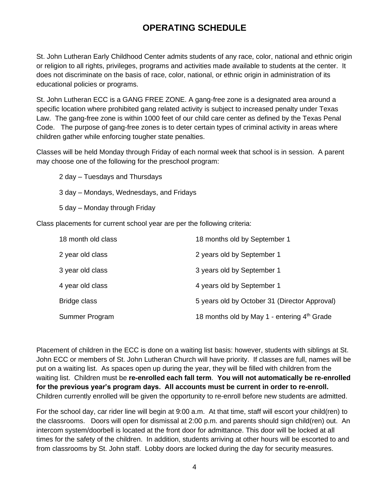## **OPERATING SCHEDULE**

<span id="page-8-0"></span>St. John Lutheran Early Childhood Center admits students of any race, color, national and ethnic origin or religion to all rights, privileges, programs and activities made available to students at the center. It does not discriminate on the basis of race, color, national, or ethnic origin in administration of its educational policies or programs.

St. John Lutheran ECC is a GANG FREE ZONE. A gang-free zone is a designated area around a specific location where prohibited gang related activity is subject to increased penalty under Texas Law. The gang-free zone is within 1000 feet of our child care center as defined by the Texas Penal Code. The purpose of gang-free zones is to deter certain types of criminal activity in areas where children gather while enforcing tougher state penalties.

Classes will be held Monday through Friday of each normal week that school is in session. A parent may choose one of the following for the preschool program:

2 day – Tuesdays and Thursdays 3 day – Mondays, Wednesdays, and Fridays 5 day – Monday through Friday

Class placements for current school year are per the following criteria:

| 18 month old class | 18 months old by September 1                  |
|--------------------|-----------------------------------------------|
| 2 year old class   | 2 years old by September 1                    |
| 3 year old class   | 3 years old by September 1                    |
| 4 year old class   | 4 years old by September 1                    |
| Bridge class       | 5 years old by October 31 (Director Approval) |
| Summer Program     | 18 months old by May 1 - entering 4th Grade   |

Placement of children in the ECC is done on a waiting list basis: however, students with siblings at St. John ECC or members of St. John Lutheran Church will have priority. If classes are full, names will be put on a waiting list. As spaces open up during the year, they will be filled with children from the waiting list. Children must be **re-enrolled each fall term**. **You will not automatically be re-enrolled for the previous year's program days. All accounts must be current in order to re-enroll.** Children currently enrolled will be given the opportunity to re-enroll before new students are admitted.

For the school day, car rider line will begin at 9:00 a.m. At that time, staff will escort your child(ren) to the classrooms. Doors will open for dismissal at 2:00 p.m. and parents should sign child(ren) out. An intercom system/doorbell is located at the front door for admittance. This door will be locked at all times for the safety of the children. In addition, students arriving at other hours will be escorted to and from classrooms by St. John staff. Lobby doors are locked during the day for security measures.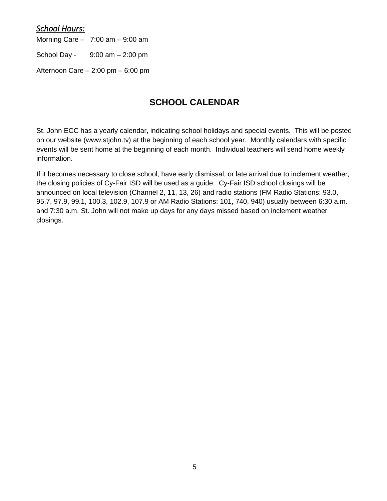#### <span id="page-9-0"></span>*School Hours:*

Morning Care  $-7:00$  am  $-9:00$  am

School Day -  $9:00$  am  $-2:00$  pm

<span id="page-9-1"></span>Afternoon Care – 2:00 pm – 6:00 pm

## **SCHOOL CALENDAR**

St. John ECC has a yearly calendar, indicating school holidays and special events. This will be posted on our website (www.stjohn.tv) at the beginning of each school year. Monthly calendars with specific events will be sent home at the beginning of each month. Individual teachers will send home weekly information.

If it becomes necessary to close school, have early dismissal, or late arrival due to inclement weather, the closing policies of Cy-Fair ISD will be used as a guide. Cy-Fair ISD school closings will be announced on local television (Channel 2, 11, 13, 26) and radio stations (FM Radio Stations: 93.0, 95.7, 97.9, 99.1, 100.3, 102.9, 107.9 or AM Radio Stations: 101, 740, 940) usually between 6:30 a.m. and 7:30 a.m. St. John will not make up days for any days missed based on inclement weather closings.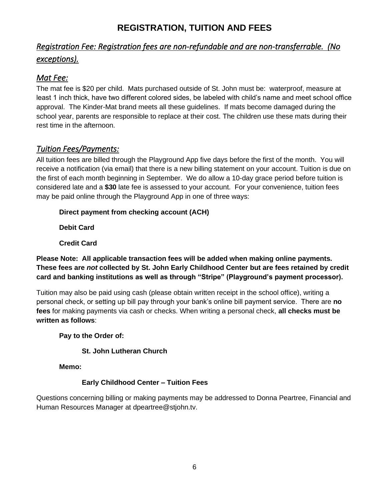## **REGISTRATION, TUITION AND FEES**

## <span id="page-10-1"></span><span id="page-10-0"></span>*Registration Fee: Registration fees are non-refundable and are non-transferrable. (No exceptions).*

#### <span id="page-10-2"></span>*Mat Fee:*

The mat fee is \$20 per child. Mats purchased outside of St. John must be: waterproof, measure at least 1 inch thick, have two different colored sides, be labeled with child's name and meet school office approval. The Kinder-Mat brand meets all these guidelines. If mats become damaged during the school year, parents are responsible to replace at their cost. The children use these mats during their rest time in the afternoon.

### <span id="page-10-3"></span>*Tuition Fees/Payments:*

All tuition fees are billed through the Playground App five days before the first of the month. You will receive a notification (via email) that there is a new billing statement on your account. Tuition is due on the first of each month beginning in September. We do allow a 10-day grace period before tuition is considered late and a **\$30** late fee is assessed to your account. For your convenience, tuition fees may be paid online through the Playground App in one of three ways:

#### **Direct payment from checking account (ACH)**

**Debit Card**

**Credit Card**

#### **Please Note: All applicable transaction fees will be added when making online payments. These fees are** *not* **collected by St. John Early Childhood Center but are fees retained by credit card and banking institutions as well as through "Stripe" (Playground's payment processor).**

Tuition may also be paid using cash (please obtain written receipt in the school office), writing a personal check, or setting up bill pay through your bank's online bill payment service. There are **no fees** for making payments via cash or checks. When writing a personal check, **all checks must be written as follows**:

#### **Pay to the Order of:**

#### **St. John Lutheran Church**

**Memo:**

#### **Early Childhood Center – Tuition Fees**

Questions concerning billing or making payments may be addressed to Donna Peartree, Financial and Human Resources Manager at dpeartree@stjohn.tv.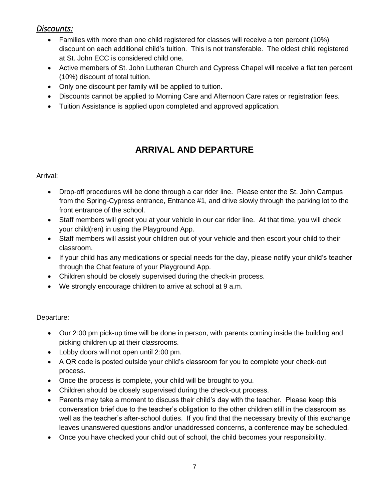### <span id="page-11-0"></span>*Discounts:*

- Families with more than one child registered for classes will receive a ten percent (10%) discount on each additional child's tuition. This is not transferable. The oldest child registered at St. John ECC is considered child one.
- Active members of St. John Lutheran Church and Cypress Chapel will receive a flat ten percent (10%) discount of total tuition.
- Only one discount per family will be applied to tuition.
- Discounts cannot be applied to Morning Care and Afternoon Care rates or registration fees.
- Tuition Assistance is applied upon completed and approved application.

## **ARRIVAL AND DEPARTURE**

#### <span id="page-11-1"></span>Arrival:

- Drop-off procedures will be done through a car rider line. Please enter the St. John Campus from the Spring-Cypress entrance, Entrance #1, and drive slowly through the parking lot to the front entrance of the school.
- Staff members will greet you at your vehicle in our car rider line. At that time, you will check your child(ren) in using the Playground App.
- Staff members will assist your children out of your vehicle and then escort your child to their classroom.
- If your child has any medications or special needs for the day, please notify your child's teacher through the Chat feature of your Playground App.
- Children should be closely supervised during the check-in process.
- We strongly encourage children to arrive at school at 9 a.m.

#### Departure:

- Our 2:00 pm pick-up time will be done in person, with parents coming inside the building and picking children up at their classrooms.
- Lobby doors will not open until 2:00 pm.
- A QR code is posted outside your child's classroom for you to complete your check-out process.
- Once the process is complete, your child will be brought to you.
- Children should be closely supervised during the check-out process.
- Parents may take a moment to discuss their child's day with the teacher. Please keep this conversation brief due to the teacher's obligation to the other children still in the classroom as well as the teacher's after-school duties. If you find that the necessary brevity of this exchange leaves unanswered questions and/or unaddressed concerns, a conference may be scheduled.
- Once you have checked your child out of school, the child becomes your responsibility.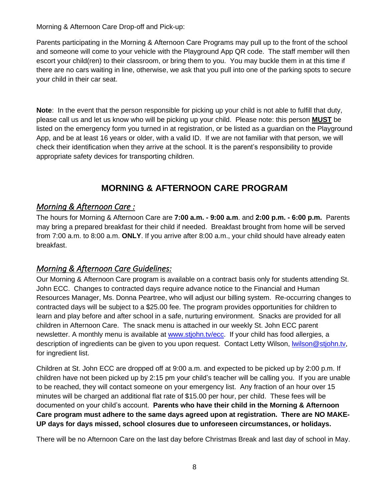Morning & Afternoon Care Drop-off and Pick-up:

Parents participating in the Morning & Afternoon Care Programs may pull up to the front of the school and someone will come to your vehicle with the Playground App QR code. The staff member will then escort your child(ren) to their classroom, or bring them to you. You may buckle them in at this time if there are no cars waiting in line, otherwise, we ask that you pull into one of the parking spots to secure your child in their car seat.

**Note**: In the event that the person responsible for picking up your child is not able to fulfill that duty, please call us and let us know who will be picking up your child. Please note: this person **MUST** be listed on the emergency form you turned in at registration, or be listed as a guardian on the Playground App, and be at least 16 years or older, with a valid ID. If we are not familiar with that person, we will check their identification when they arrive at the school. It is the parent's responsibility to provide appropriate safety devices for transporting children.

## **MORNING & AFTERNOON CARE PROGRAM**

#### <span id="page-12-1"></span><span id="page-12-0"></span>*Morning & Afternoon Care :*

The hours for Morning & Afternoon Care are **7:00 a.m. - 9:00 a.m**. and **2:00 p.m. - 6:00 p.m.** Parents may bring a prepared breakfast for their child if needed. Breakfast brought from home will be served from 7:00 a.m. to 8:00 a.m. **ONLY**. If you arrive after 8:00 a.m., your child should have already eaten breakfast.

#### <span id="page-12-2"></span>*Morning & Afternoon Care Guidelines:*

Our Morning & Afternoon Care program is available on a contract basis only for students attending St. John ECC. Changes to contracted days require advance notice to the Financial and Human Resources Manager, Ms. Donna Peartree, who will adjust our billing system. Re-occurring changes to contracted days will be subject to a \$25.00 fee. The program provides opportunities for children to learn and play before and after school in a safe, nurturing environment. Snacks are provided for all children in Afternoon Care. The snack menu is attached in our weekly St. John ECC parent newsletter. A monthly menu is available at [www.stjohn.tv/](http://www.stjohn.tv/)ecc. If your child has food allergies, a description of ingredients can be given to you upon request. Contact Letty Wilson, Iwilson@stjohn.tv, for ingredient list.

Children at St. John ECC are dropped off at 9:00 a.m. and expected to be picked up by 2:00 p.m. If children have not been picked up by 2:15 pm your child's teacher will be calling you. If you are unable to be reached, they will contact someone on your emergency list. Any fraction of an hour over 15 minutes will be charged an additional flat rate of \$15.00 per hour, per child. These fees will be documented on your child's account. **Parents who have their child in the Morning & Afternoon Care program must adhere to the same days agreed upon at registration. There are NO MAKE-UP days for days missed, school closures due to unforeseen circumstances, or holidays.**

There will be no Afternoon Care on the last day before Christmas Break and last day of school in May.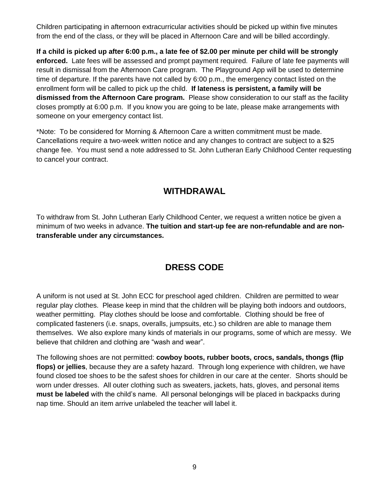Children participating in afternoon extracurricular activities should be picked up within five minutes from the end of the class, or they will be placed in Afternoon Care and will be billed accordingly.

**If a child is picked up after 6:00 p.m., a late fee of \$2.00 per minute per child will be strongly enforced.** Late fees will be assessed and prompt payment required. Failure of late fee payments will result in dismissal from the Afternoon Care program. The Playground App will be used to determine time of departure. If the parents have not called by 6:00 p.m., the emergency contact listed on the enrollment form will be called to pick up the child. **If lateness is persistent, a family will be dismissed from the Afternoon Care program.** Please show consideration to our staff as the facility closes promptly at 6:00 p.m. If you know you are going to be late, please make arrangements with someone on your emergency contact list.

\*Note: To be considered for Morning & Afternoon Care a written commitment must be made. Cancellations require a two-week written notice and any changes to contract are subject to a \$25 change fee. You must send a note addressed to St. John Lutheran Early Childhood Center requesting to cancel your contract.

## **WITHDRAWAL**

<span id="page-13-1"></span><span id="page-13-0"></span>To withdraw from St. John Lutheran Early Childhood Center, we request a written notice be given a minimum of two weeks in advance. **The tuition and start-up fee are non-refundable and are nontransferable under any circumstances.**

## **DRESS CODE**

A uniform is not used at St. John ECC for preschool aged children. Children are permitted to wear regular play clothes. Please keep in mind that the children will be playing both indoors and outdoors, weather permitting. Play clothes should be loose and comfortable. Clothing should be free of complicated fasteners (i.e. snaps, overalls, jumpsuits, etc.) so children are able to manage them themselves. We also explore many kinds of materials in our programs, some of which are messy. We believe that children and clothing are "wash and wear".

The following shoes are not permitted: **cowboy boots, rubber boots, crocs, sandals, thongs (flip flops) or jellies**, because they are a safety hazard. Through long experience with children, we have found closed toe shoes to be the safest shoes for children in our care at the center. Shorts should be worn under dresses. All outer clothing such as sweaters, jackets, hats, gloves, and personal items **must be labeled** with the child's name. All personal belongings will be placed in backpacks during nap time. Should an item arrive unlabeled the teacher will label it.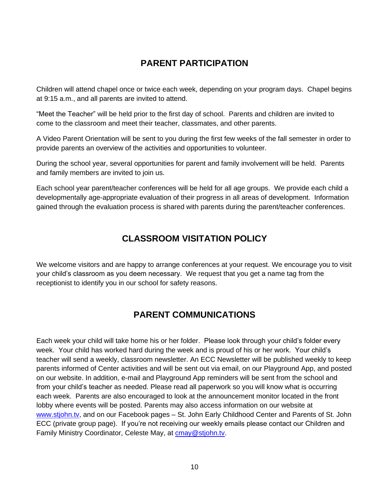## **PARENT PARTICIPATION**

<span id="page-14-0"></span>Children will attend chapel once or twice each week, depending on your program days. Chapel begins at 9:15 a.m., and all parents are invited to attend.

"Meet the Teacher" will be held prior to the first day of school. Parents and children are invited to come to the classroom and meet their teacher, classmates, and other parents.

A Video Parent Orientation will be sent to you during the first few weeks of the fall semester in order to provide parents an overview of the activities and opportunities to volunteer.

During the school year, several opportunities for parent and family involvement will be held. Parents and family members are invited to join us.

<span id="page-14-1"></span>Each school year parent/teacher conferences will be held for all age groups. We provide each child a developmentally age-appropriate evaluation of their progress in all areas of development. Information gained through the evaluation process is shared with parents during the parent/teacher conferences.

## **CLASSROOM VISITATION POLICY**

<span id="page-14-2"></span>We welcome visitors and are happy to arrange conferences at your request. We encourage you to visit your child's classroom as you deem necessary. We request that you get a name tag from the receptionist to identify you in our school for safety reasons.

## **PARENT COMMUNICATIONS**

Each week your child will take home his or her folder. Please look through your child's folder every week. Your child has worked hard during the week and is proud of his or her work. Your child's teacher will send a weekly, classroom newsletter. An ECC Newsletter will be published weekly to keep parents informed of Center activities and will be sent out via email, on our Playground App, and posted on our website. In addition, e-mail and Playground App reminders will be sent from the school and from your child's teacher as needed. Please read all paperwork so you will know what is occurring each week. Parents are also encouraged to look at the announcement monitor located in the front lobby where events will be posted. Parents may also access information on our website at [www.stjohn.tv,](http://www.stjohn.tv/) and on our Facebook pages – St. John Early Childhood Center and Parents of St. John ECC (private group page). If you're not receiving our weekly emails please contact our Children and Family Ministry Coordinator, Celeste May, at [cmay@stjohn.tv.](mailto:cmay@stjohn.tv)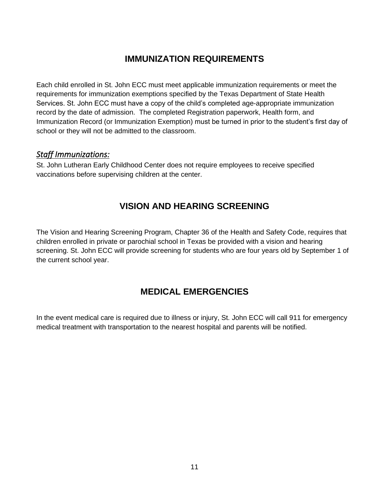## **IMMUNIZATION REQUIREMENTS**

<span id="page-15-0"></span>Each child enrolled in St. John ECC must meet applicable immunization requirements or meet the requirements for immunization exemptions specified by the Texas Department of State Health Services. St. John ECC must have a copy of the child's completed age-appropriate immunization record by the date of admission. The completed Registration paperwork, Health form, and Immunization Record (or Immunization Exemption) must be turned in prior to the student's first day of school or they will not be admitted to the classroom.

#### <span id="page-15-1"></span>*Staff Immunizations:*

<span id="page-15-2"></span>St. John Lutheran Early Childhood Center does not require employees to receive specified vaccinations before supervising children at the center.

## **VISION AND HEARING SCREENING**

<span id="page-15-3"></span>The Vision and Hearing Screening Program, Chapter 36 of the Health and Safety Code, requires that children enrolled in private or parochial school in Texas be provided with a vision and hearing screening. St. John ECC will provide screening for students who are four years old by September 1 of the current school year.

## **MEDICAL EMERGENCIES**

In the event medical care is required due to illness or injury, St. John ECC will call 911 for emergency medical treatment with transportation to the nearest hospital and parents will be notified.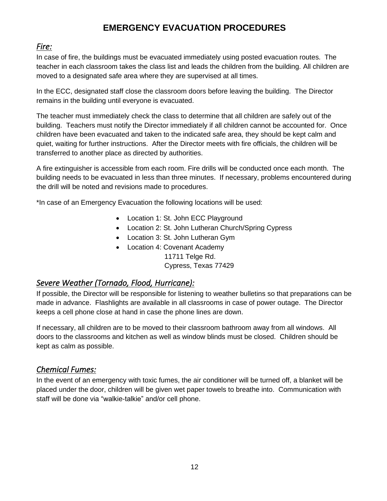## **EMERGENCY EVACUATION PROCEDURES**

#### <span id="page-16-1"></span><span id="page-16-0"></span>*Fire:*

In case of fire, the buildings must be evacuated immediately using posted evacuation routes. The teacher in each classroom takes the class list and leads the children from the building. All children are moved to a designated safe area where they are supervised at all times.

In the ECC, designated staff close the classroom doors before leaving the building. The Director remains in the building until everyone is evacuated.

The teacher must immediately check the class to determine that all children are safely out of the building. Teachers must notify the Director immediately if all children cannot be accounted for. Once children have been evacuated and taken to the indicated safe area, they should be kept calm and quiet, waiting for further instructions. After the Director meets with fire officials, the children will be transferred to another place as directed by authorities.

A fire extinguisher is accessible from each room. Fire drills will be conducted once each month. The building needs to be evacuated in less than three minutes. If necessary, problems encountered during the drill will be noted and revisions made to procedures.

\*In case of an Emergency Evacuation the following locations will be used:

- Location 1: St. John ECC Playground
- Location 2: St. John Lutheran Church/Spring Cypress
- Location 3: St. John Lutheran Gym
- Location 4: Covenant Academy
	- 11711 Telge Rd.

Cypress, Texas 77429

#### <span id="page-16-2"></span>*Severe Weather (Tornado, Flood, Hurricane):*

If possible, the Director will be responsible for listening to weather bulletins so that preparations can be made in advance. Flashlights are available in all classrooms in case of power outage. The Director keeps a cell phone close at hand in case the phone lines are down.

If necessary, all children are to be moved to their classroom bathroom away from all windows. All doors to the classrooms and kitchen as well as window blinds must be closed. Children should be kept as calm as possible.

#### <span id="page-16-3"></span>*Chemical Fumes:*

In the event of an emergency with toxic fumes, the air conditioner will be turned off, a blanket will be placed under the door, children will be given wet paper towels to breathe into. Communication with staff will be done via "walkie-talkie" and/or cell phone.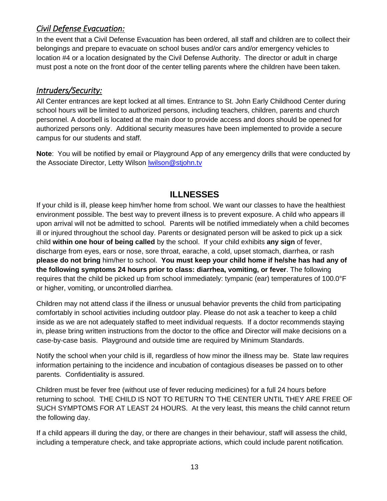### <span id="page-17-0"></span>*Civil Defense Evacuation:*

In the event that a Civil Defense Evacuation has been ordered, all staff and children are to collect their belongings and prepare to evacuate on school buses and/or cars and/or emergency vehicles to location #4 or a location designated by the Civil Defense Authority. The director or adult in charge must post a note on the front door of the center telling parents where the children have been taken.

#### <span id="page-17-1"></span>*Intruders/Security:*

All Center entrances are kept locked at all times. Entrance to St. John Early Childhood Center during school hours will be limited to authorized persons, including teachers, children, parents and church personnel. A doorbell is located at the main door to provide access and doors should be opened for authorized persons only. Additional security measures have been implemented to provide a secure campus for our students and staff.

<span id="page-17-2"></span>**Note**: You will be notified by email or Playground App of any emergency drills that were conducted by the Associate Director, Letty Wilson [lwilson@stjohn.tv](mailto:lwilson@stjohn.tv)

## **ILLNESSES**

If your child is ill, please keep him/her home from school. We want our classes to have the healthiest environment possible. The best way to prevent illness is to prevent exposure. A child who appears ill upon arrival will not be admitted to school. Parents will be notified immediately when a child becomes ill or injured throughout the school day. Parents or designated person will be asked to pick up a sick child **within one hour of being called** by the school. If your child exhibits **any sign** of fever, discharge from eyes, ears or nose, sore throat, earache, a cold, upset stomach, diarrhea, or rash **please do not bring** him/her to school. **You must keep your child home if he/she has had any of the following symptoms 24 hours prior to class: diarrhea, vomiting, or fever**. The following requires that the child be picked up from school immediately: tympanic (ear) temperatures of 100.0°F or higher, vomiting, or uncontrolled diarrhea.

Children may not attend class if the illness or unusual behavior prevents the child from participating comfortably in school activities including outdoor play. Please do not ask a teacher to keep a child inside as we are not adequately staffed to meet individual requests. If a doctor recommends staying in, please bring written instructions from the doctor to the office and Director will make decisions on a case-by-case basis. Playground and outside time are required by Minimum Standards.

Notify the school when your child is ill, regardless of how minor the illness may be. State law requires information pertaining to the incidence and incubation of contagious diseases be passed on to other parents. Confidentiality is assured.

Children must be fever free (without use of fever reducing medicines) for a full 24 hours before returning to school. THE CHILD IS NOT TO RETURN TO THE CENTER UNTIL THEY ARE FREE OF SUCH SYMPTOMS FOR AT LEAST 24 HOURS. At the very least, this means the child cannot return the following day.

If a child appears ill during the day, or there are changes in their behaviour, staff will assess the child, including a temperature check, and take appropriate actions, which could include parent notification.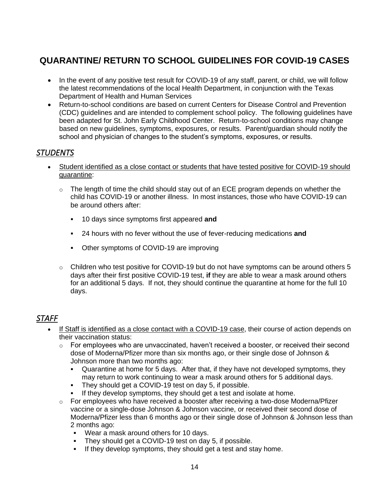# <span id="page-18-0"></span>**QUARANTINE/ RETURN TO SCHOOL GUIDELINES FOR COVID-19 CASES**

- In the event of any positive test result for COVID-19 of any staff, parent, or child, we will follow the latest recommendations of the local Health Department, in conjunction with the Texas Department of Health and Human Services
- Return-to-school conditions are based on current Centers for Disease Control and Prevention (CDC) guidelines and are intended to complement school policy. The following guidelines have been adapted for St. John Early Childhood Center. Return-to-school conditions may change based on new guidelines, symptoms, exposures, or results. Parent/guardian should notify the school and physician of changes to the student's symptoms, exposures, or results.

#### <span id="page-18-1"></span>*STUDENTS*

- Student identified as a close contact or students that have tested positive for COVID-19 should quarantine:
	- $\circ$  The length of time the child should stay out of an ECE program depends on whether the child has COVID-19 or another illness. In most instances, those who have COVID-19 can be around others after:
		- 10 days since symptoms first appeared **and**
		- 24 hours with no fever without the use of fever-reducing medications **and**
		- Other symptoms of COVID-19 are improving
	- $\circ$  Children who test positive for COVID-19 but do not have symptoms can be around others 5 days after their first positive COVID-19 test, **if** they are able to wear a mask around others for an additional 5 days. If not, they should continue the quarantine at home for the full 10 days.

#### <span id="page-18-2"></span>*STAFF*

- If Staff is identified as a close contact with a COVID-19 case, their course of action depends on their vaccination status:
	- $\circ$  For employees who are unvaccinated, haven't received a booster, or received their second dose of Moderna/Pfizer more than six months ago, or their single dose of Johnson & Johnson more than two months ago:
		- Quarantine at home for 5 days. After that, if they have not developed symptoms, they may return to work continuing to wear a mask around others for 5 additional days.
		- They should get a COVID-19 test on day 5, if possible.
		- If they develop symptoms, they should get a test and isolate at home.
	- $\circ$  For employees who have received a booster after receiving a two-dose Moderna/Pfizer vaccine or a single-dose Johnson & Johnson vaccine, or received their second dose of Moderna/Pfizer less than 6 months ago or their single dose of Johnson & Johnson less than 2 months ago:
		- Wear a mask around others for 10 days.
		- They should get a COVID-19 test on day 5, if possible.
		- If they develop symptoms, they should get a test and stay home.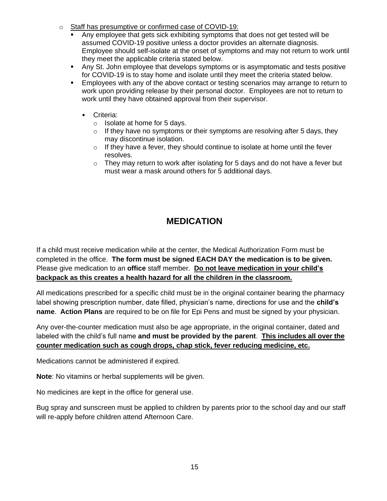- o Staff has presumptive or confirmed case of COVID-19:
	- Any employee that gets sick exhibiting symptoms that does not get tested will be assumed COVID-19 positive unless a doctor provides an alternate diagnosis. Employee should self-isolate at the onset of symptoms and may not return to work until they meet the applicable criteria stated below.
	- Any St. John employee that develops symptoms or is asymptomatic and tests positive for COVID-19 is to stay home and isolate until they meet the criteria stated below.
	- **Employees with any of the above contact or testing scenarios may arrange to return to** work upon providing release by their personal doctor. Employees are not to return to work until they have obtained approval from their supervisor.
		- Criteria:
			- o Isolate at home for 5 days.
			- $\circ$  If they have no symptoms or their symptoms are resolving after 5 days, they may discontinue isolation.
			- $\circ$  If they have a fever, they should continue to isolate at home until the fever resolves.
			- $\circ$  They may return to work after isolating for 5 days and do not have a fever but must wear a mask around others for 5 additional days.

## **MEDICATION**

<span id="page-19-0"></span>If a child must receive medication while at the center, the Medical Authorization Form must be completed in the office. **The form must be signed EACH DAY the medication is to be given.** Please give medication to an **office** staff member. **Do not leave medication in your child's backpack as this creates a health hazard for all the children in the classroom.**

All medications prescribed for a specific child must be in the original container bearing the pharmacy label showing prescription number, date filled, physician's name, directions for use and the **child's name**. **Action Plans** are required to be on file for Epi Pens and must be signed by your physician.

Any over-the-counter medication must also be age appropriate, in the original container, dated and labeled with the child's full name **and must be provided by the parent**. **This includes all over the counter medication such as cough drops, chap stick, fever reducing medicine, etc.**

Medications cannot be administered if expired.

**Note**: No vitamins or herbal supplements will be given.

No medicines are kept in the office for general use.

Bug spray and sunscreen must be applied to children by parents prior to the school day and our staff will re-apply before children attend Afternoon Care.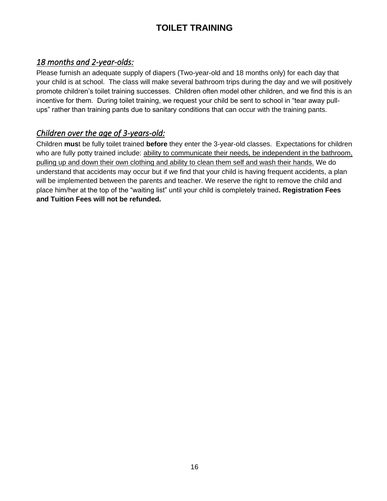## **TOILET TRAINING**

### <span id="page-20-1"></span><span id="page-20-0"></span>*18 months and 2-year-olds:*

Please furnish an adequate supply of diapers (Two-year-old and 18 months only) for each day that your child is at school. The class will make several bathroom trips during the day and we will positively promote children's toilet training successes. Children often model other children, and we find this is an incentive for them. During toilet training, we request your child be sent to school in "tear away pullups" rather than training pants due to sanitary conditions that can occur with the training pants.

## <span id="page-20-2"></span>*Children over the age of 3-years-old:*

Children **mus**t be fully toilet trained **before** they enter the 3-year-old classes. Expectations for children who are fully potty trained include: ability to communicate their needs, be independent in the bathroom, pulling up and down their own clothing and ability to clean them self and wash their hands. We do understand that accidents may occur but if we find that your child is having frequent accidents, a plan will be implemented between the parents and teacher. We reserve the right to remove the child and place him/her at the top of the "waiting list" until your child is completely trained**. Registration Fees and Tuition Fees will not be refunded.**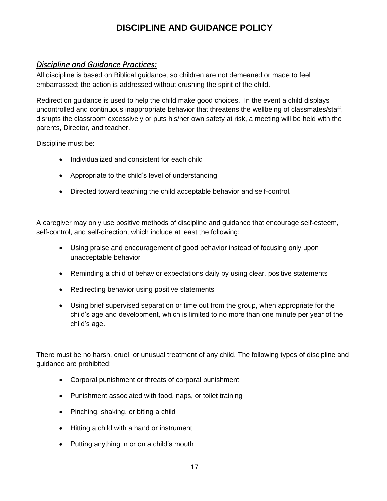## **DISCIPLINE AND GUIDANCE POLICY**

#### <span id="page-21-1"></span><span id="page-21-0"></span>*Discipline and Guidance Practices:*

All discipline is based on Biblical guidance, so children are not demeaned or made to feel embarrassed; the action is addressed without crushing the spirit of the child.

Redirection guidance is used to help the child make good choices. In the event a child displays uncontrolled and continuous inappropriate behavior that threatens the wellbeing of classmates/staff, disrupts the classroom excessively or puts his/her own safety at risk, a meeting will be held with the parents, Director, and teacher.

Discipline must be:

- Individualized and consistent for each child
- Appropriate to the child's level of understanding
- Directed toward teaching the child acceptable behavior and self-control.

A caregiver may only use positive methods of discipline and guidance that encourage self-esteem, self-control, and self-direction, which include at least the following:

- Using praise and encouragement of good behavior instead of focusing only upon unacceptable behavior
- Reminding a child of behavior expectations daily by using clear, positive statements
- Redirecting behavior using positive statements
- Using brief supervised separation or time out from the group, when appropriate for the child's age and development, which is limited to no more than one minute per year of the child's age.

There must be no harsh, cruel, or unusual treatment of any child. The following types of discipline and guidance are prohibited:

- Corporal punishment or threats of corporal punishment
- Punishment associated with food, naps, or toilet training
- Pinching, shaking, or biting a child
- Hitting a child with a hand or instrument
- Putting anything in or on a child's mouth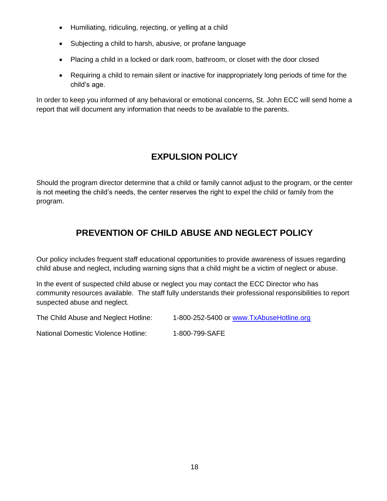- Humiliating, ridiculing, rejecting, or yelling at a child
- Subjecting a child to harsh, abusive, or profane language
- Placing a child in a locked or dark room, bathroom, or closet with the door closed
- Requiring a child to remain silent or inactive for inappropriately long periods of time for the child's age.

<span id="page-22-0"></span>In order to keep you informed of any behavioral or emotional concerns, St. John ECC will send home a report that will document any information that needs to be available to the parents.

## **EXPULSION POLICY**

<span id="page-22-1"></span>Should the program director determine that a child or family cannot adjust to the program, or the center is not meeting the child's needs, the center reserves the right to expel the child or family from the program.

## **PREVENTION OF CHILD ABUSE AND NEGLECT POLICY**

Our policy includes frequent staff educational opportunities to provide awareness of issues regarding child abuse and neglect, including warning signs that a child might be a victim of neglect or abuse.

In the event of suspected child abuse or neglect you may contact the ECC Director who has community resources available. The staff fully understands their professional responsibilities to report suspected abuse and neglect.

The Child Abuse and Neglect Hotline: 1-800-252-5400 or [www.TxAbuseHotline.org](http://www.txabusehotline.org/)

National Domestic Violence Hotline: 1-800-799-SAFE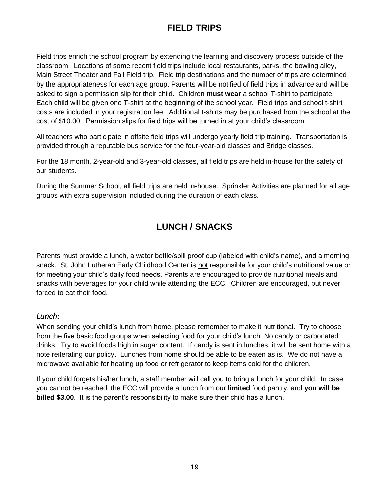# **FIELD TRIPS**

<span id="page-23-0"></span>Field trips enrich the school program by extending the learning and discovery process outside of the classroom. Locations of some recent field trips include local restaurants, parks, the bowling alley, Main Street Theater and Fall Field trip. Field trip destinations and the number of trips are determined by the appropriateness for each age group. Parents will be notified of field trips in advance and will be asked to sign a permission slip for their child. Children **must wear** a school T-shirt to participate. Each child will be given one T-shirt at the beginning of the school year. Field trips and school t-shirt costs are included in your registration fee. Additional t-shirts may be purchased from the school at the cost of \$10.00. Permission slips for field trips will be turned in at your child's classroom.

All teachers who participate in offsite field trips will undergo yearly field trip training. Transportation is provided through a reputable bus service for the four-year-old classes and Bridge classes.

For the 18 month, 2-year-old and 3-year-old classes, all field trips are held in-house for the safety of our students.

<span id="page-23-1"></span>During the Summer School, all field trips are held in-house. Sprinkler Activities are planned for all age groups with extra supervision included during the duration of each class.

# **LUNCH / SNACKS**

Parents must provide a lunch, a water bottle/spill proof cup (labeled with child's name), and a morning snack. St. John Lutheran Early Childhood Center is not responsible for your child's nutritional value or for meeting your child's daily food needs. Parents are encouraged to provide nutritional meals and snacks with beverages for your child while attending the ECC. Children are encouraged, but never forced to eat their food.

#### <span id="page-23-2"></span>*Lunch:*

When sending your child's lunch from home, please remember to make it nutritional. Try to choose from the five basic food groups when selecting food for your child's lunch. No candy or carbonated drinks. Try to avoid foods high in sugar content. If candy is sent in lunches, it will be sent home with a note reiterating our policy. Lunches from home should be able to be eaten as is. We do not have a microwave available for heating up food or refrigerator to keep items cold for the children.

If your child forgets his/her lunch, a staff member will call you to bring a lunch for your child. In case you cannot be reached, the ECC will provide a lunch from our **limited** food pantry, and **you will be billed \$3.00**. It is the parent's responsibility to make sure their child has a lunch.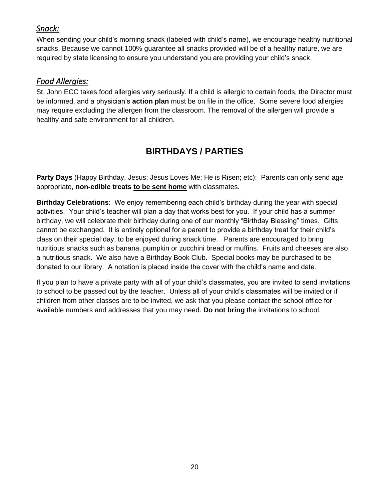### <span id="page-24-0"></span>*Snack:*

When sending your child's morning snack (labeled with child's name), we encourage healthy nutritional snacks. Because we cannot 100% guarantee all snacks provided will be of a healthy nature, we are required by state licensing to ensure you understand you are providing your child's snack.

#### <span id="page-24-1"></span>*Food Allergies:*

St. John ECC takes food allergies very seriously. If a child is allergic to certain foods, the Director must be informed, and a physician's **action plan** must be on file in the office. Some severe food allergies may require excluding the allergen from the classroom. The removal of the allergen will provide a healthy and safe environment for all children.

# **BIRTHDAYS / PARTIES**

<span id="page-24-2"></span>**Party Days** (Happy Birthday, Jesus; Jesus Loves Me; He is Risen; etc): Parents can only send age appropriate, **non-edible treats to be sent home** with classmates.

**Birthday Celebrations**: We enjoy remembering each child's birthday during the year with special activities. Your child's teacher will plan a day that works best for you. If your child has a summer birthday, we will celebrate their birthday during one of our monthly "Birthday Blessing" times. Gifts cannot be exchanged. It is entirely optional for a parent to provide a birthday treat for their child's class on their special day, to be enjoyed during snack time. Parents are encouraged to bring nutritious snacks such as banana, pumpkin or zucchini bread or muffins. Fruits and cheeses are also a nutritious snack. We also have a Birthday Book Club. Special books may be purchased to be donated to our library. A notation is placed inside the cover with the child's name and date.

If you plan to have a private party with all of your child's classmates, you are invited to send invitations to school to be passed out by the teacher. Unless all of your child's classmates will be invited or if children from other classes are to be invited, we ask that you please contact the school office for available numbers and addresses that you may need. **Do not bring** the invitations to school.